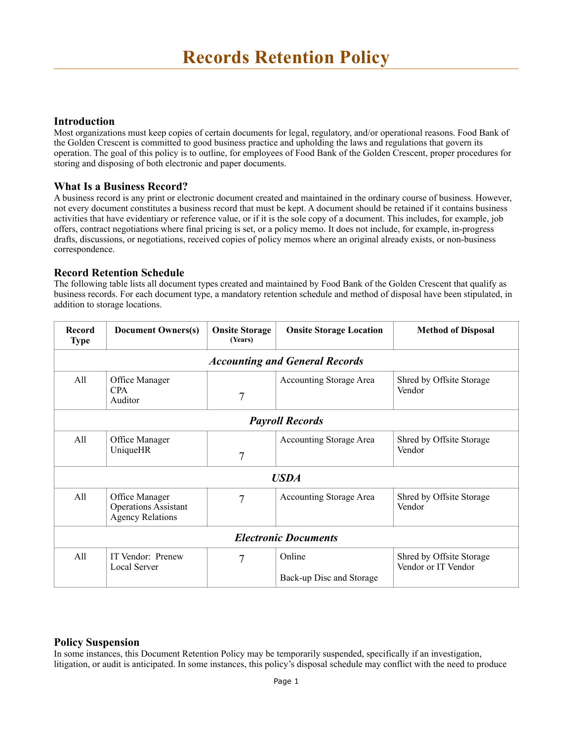### **Introduction**

Most organizations must keep copies of certain documents for legal, regulatory, and/or operational reasons. Food Bank of the Golden Crescent is committed to good business practice and upholding the laws and regulations that govern its operation. The goal of this policy is to outline, for employees of Food Bank of the Golden Crescent, proper procedures for storing and disposing of both electronic and paper documents.

## **What Is a Business Record?**

A business record is any print or electronic document created and maintained in the ordinary course of business. However, not every document constitutes a business record that must be kept. A document should be retained if it contains business activities that have evidentiary or reference value, or if it is the sole copy of a document. This includes, for example, job offers, contract negotiations where final pricing is set, or a policy memo. It does not include, for example, in-progress drafts, discussions, or negotiations, received copies of policy memos where an original already exists, or non-business correspondence.

## **Record Retention Schedule**

The following table lists all document types created and maintained by Food Bank of the Golden Crescent that qualify as business records. For each document type, a mandatory retention schedule and method of disposal have been stipulated, in addition to storage locations.

| Record<br><b>Type</b>                 | <b>Document Owners(s)</b>                                                | <b>Onsite Storage</b><br>(Years) | <b>Onsite Storage Location</b>     | <b>Method of Disposal</b>                       |
|---------------------------------------|--------------------------------------------------------------------------|----------------------------------|------------------------------------|-------------------------------------------------|
| <b>Accounting and General Records</b> |                                                                          |                                  |                                    |                                                 |
| All                                   | Office Manager<br><b>CPA</b><br>Auditor                                  | 7                                | Accounting Storage Area            | Shred by Offsite Storage<br>Vendor              |
| <b>Payroll Records</b>                |                                                                          |                                  |                                    |                                                 |
| All                                   | Office Manager<br><b>UniqueHR</b>                                        | 7                                | Accounting Storage Area            | Shred by Offsite Storage<br>Vendor              |
| <b>USDA</b>                           |                                                                          |                                  |                                    |                                                 |
| All                                   | Office Manager<br><b>Operations Assistant</b><br><b>Agency Relations</b> | 7                                | <b>Accounting Storage Area</b>     | Shred by Offsite Storage<br>Vendor              |
| <b>Electronic Documents</b>           |                                                                          |                                  |                                    |                                                 |
| All                                   | IT Vendor: Prenew<br><b>Local Server</b>                                 | 7                                | Online<br>Back-up Disc and Storage | Shred by Offsite Storage<br>Vendor or IT Vendor |

# **Policy Suspension**

In some instances, this Document Retention Policy may be temporarily suspended, specifically if an investigation, litigation, or audit is anticipated. In some instances, this policy's disposal schedule may conflict with the need to produce